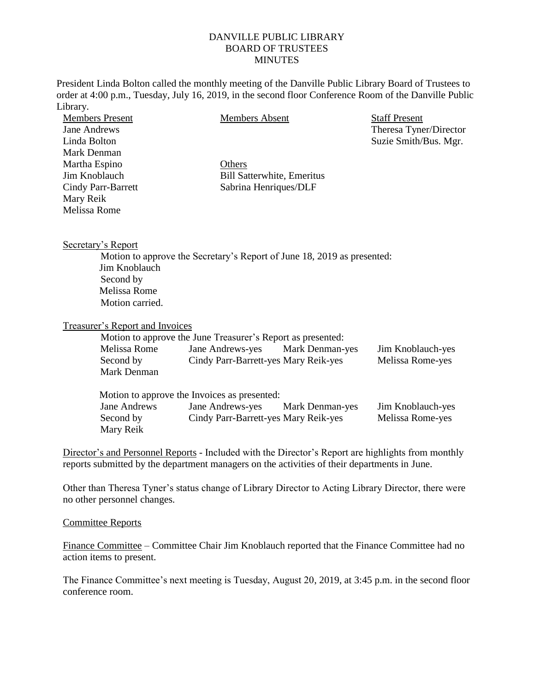## DANVILLE PUBLIC LIBRARY BOARD OF TRUSTEES **MINUTES**

President Linda Bolton called the monthly meeting of the Danville Public Library Board of Trustees to order at 4:00 p.m., Tuesday, July 16, 2019, in the second floor Conference Room of the Danville Public Library.

| <b>Members Present</b> | <b>Members Absent</b>                                                   | <b>Staff Present</b>   |
|------------------------|-------------------------------------------------------------------------|------------------------|
| Jane Andrews           |                                                                         | Theresa Tyner/Director |
| Linda Bolton           |                                                                         | Suzie Smith/Bus. Mgr.  |
| Mark Denman            |                                                                         |                        |
| Martha Espino          | Others                                                                  |                        |
| Jim Knoblauch          | <b>Bill Satterwhite, Emeritus</b>                                       |                        |
| Cindy Parr-Barrett     | Sabrina Henriques/DLF                                                   |                        |
| Mary Reik              |                                                                         |                        |
| Melissa Rome           |                                                                         |                        |
| Secretary's Report     |                                                                         |                        |
|                        | Motion to approve the Secretary's Report of June 18, 2019 as presented: |                        |
| Jim Knoblauch          |                                                                         |                        |
| Second by              |                                                                         |                        |
| Melissa Rome           |                                                                         |                        |
| Motion carried.        |                                                                         |                        |

## Treasurer's Report and Invoices

|              | Motion to approve the June Treasurer's Report as presented: |                        |                   |
|--------------|-------------------------------------------------------------|------------------------|-------------------|
| Melissa Rome | Jane Andrews-yes                                            | <b>Mark Denman-yes</b> | Jim Knoblauch-yes |
| Second by    | Cindy Parr-Barrett-yes Mary Reik-yes                        |                        | Melissa Rome-yes  |
| Mark Denman  |                                                             |                        |                   |
|              |                                                             |                        |                   |
|              | Motion to approve the Invoices as presented:                |                        |                   |
| Jane Andrews | Jane Andrews-yes                                            | <b>Mark Denman-yes</b> | Jim Knoblauch-yes |
| Second by    | Cindy Parr-Barrett-yes Mary Reik-yes                        |                        | Melissa Rome-yes  |
| Mary Reik    |                                                             |                        |                   |

Director's and Personnel Reports - Included with the Director's Report are highlights from monthly reports submitted by the department managers on the activities of their departments in June.

Other than Theresa Tyner's status change of Library Director to Acting Library Director, there were no other personnel changes.

## Committee Reports

Finance Committee – Committee Chair Jim Knoblauch reported that the Finance Committee had no action items to present.

The Finance Committee's next meeting is Tuesday, August 20, 2019, at 3:45 p.m. in the second floor conference room.